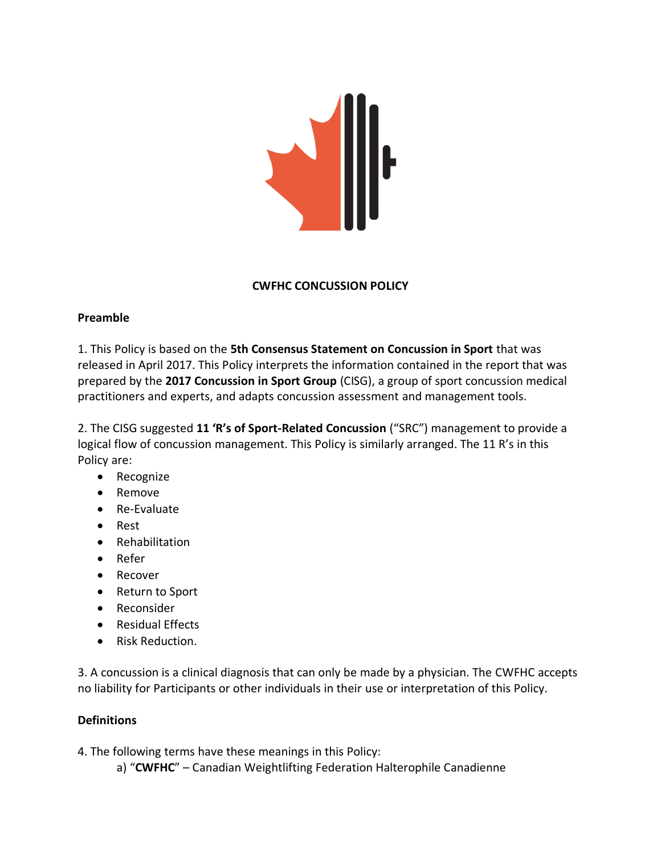

#### **CWFHC CONCUSSION POLICY**

#### **Preamble**

1. This Policy is based on the **5th Consensus Statement on Concussion in Sport** that was released in April 2017. This Policy interprets the information contained in the report that was prepared by the **2017 Concussion in Sport Group** (CISG), a group of sport concussion medical practitioners and experts, and adapts concussion assessment and management tools.

2. The CISG suggested **11 'R's of Sport-Related Concussion** ("SRC") management to provide a logical flow of concussion management. This Policy is similarly arranged. The 11 R's in this Policy are:

- Recognize
- Remove
- Re-Evaluate
- Rest
- Rehabilitation
- Refer
- Recover
- Return to Sport
- Reconsider
- Residual Effects
- Risk Reduction.

3. A concussion is a clinical diagnosis that can only be made by a physician. The CWFHC accepts no liability for Participants or other individuals in their use or interpretation of this Policy.

## **Definitions**

4. The following terms have these meanings in this Policy:

a) "**CWFHC**" – Canadian Weightlifting Federation Halterophile Canadienne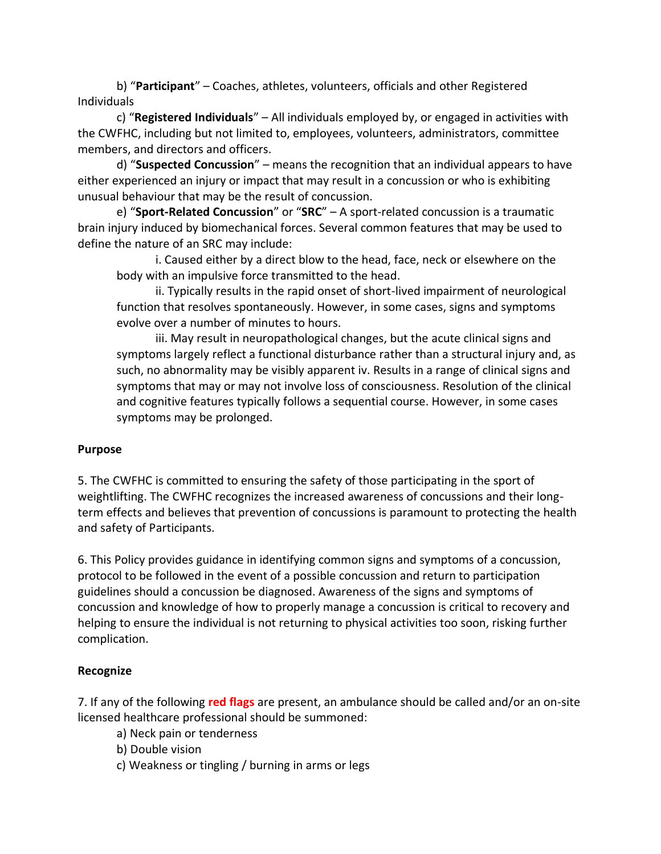b) "**Participant**" – Coaches, athletes, volunteers, officials and other Registered Individuals

c) "**Registered Individuals**" – All individuals employed by, or engaged in activities with the CWFHC, including but not limited to, employees, volunteers, administrators, committee members, and directors and officers.

d) "**Suspected Concussion**" – means the recognition that an individual appears to have either experienced an injury or impact that may result in a concussion or who is exhibiting unusual behaviour that may be the result of concussion.

e) "**Sport-Related Concussion**" or "**SRC**" – A sport-related concussion is a traumatic brain injury induced by biomechanical forces. Several common features that may be used to define the nature of an SRC may include:

i. Caused either by a direct blow to the head, face, neck or elsewhere on the body with an impulsive force transmitted to the head.

ii. Typically results in the rapid onset of short-lived impairment of neurological function that resolves spontaneously. However, in some cases, signs and symptoms evolve over a number of minutes to hours.

iii. May result in neuropathological changes, but the acute clinical signs and symptoms largely reflect a functional disturbance rather than a structural injury and, as such, no abnormality may be visibly apparent iv. Results in a range of clinical signs and symptoms that may or may not involve loss of consciousness. Resolution of the clinical and cognitive features typically follows a sequential course. However, in some cases symptoms may be prolonged.

## **Purpose**

5. The CWFHC is committed to ensuring the safety of those participating in the sport of weightlifting. The CWFHC recognizes the increased awareness of concussions and their longterm effects and believes that prevention of concussions is paramount to protecting the health and safety of Participants.

6. This Policy provides guidance in identifying common signs and symptoms of a concussion, protocol to be followed in the event of a possible concussion and return to participation guidelines should a concussion be diagnosed. Awareness of the signs and symptoms of concussion and knowledge of how to properly manage a concussion is critical to recovery and helping to ensure the individual is not returning to physical activities too soon, risking further complication.

## **Recognize**

7. If any of the following **red flags** are present, an ambulance should be called and/or an on-site licensed healthcare professional should be summoned:

- a) Neck pain or tenderness
- b) Double vision
- c) Weakness or tingling / burning in arms or legs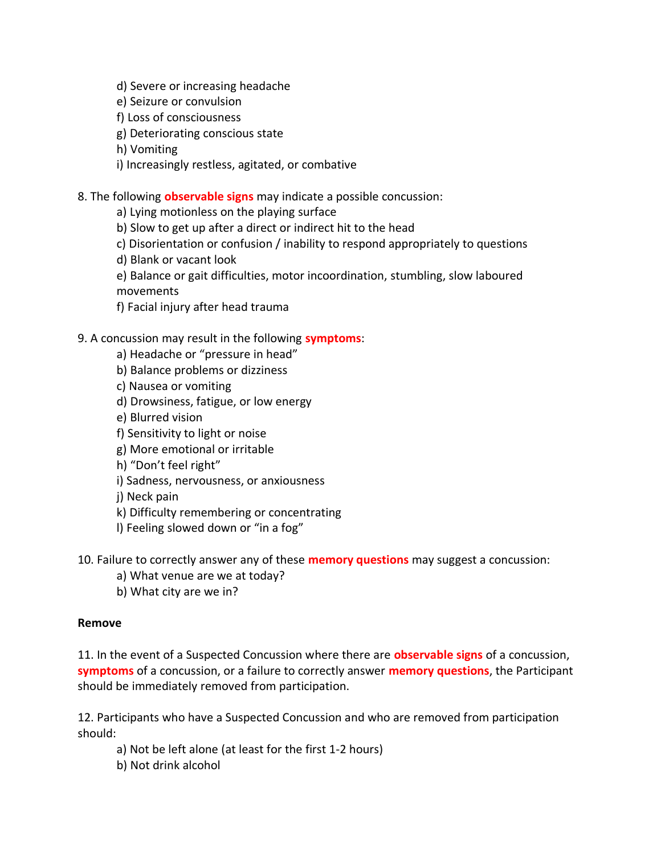- d) Severe or increasing headache
- e) Seizure or convulsion
- f) Loss of consciousness
- g) Deteriorating conscious state
- h) Vomiting
- i) Increasingly restless, agitated, or combative
- 8. The following **observable signs** may indicate a possible concussion:
	- a) Lying motionless on the playing surface
	- b) Slow to get up after a direct or indirect hit to the head
	- c) Disorientation or confusion / inability to respond appropriately to questions
	- d) Blank or vacant look
	- e) Balance or gait difficulties, motor incoordination, stumbling, slow laboured movements
	- f) Facial injury after head trauma

# 9. A concussion may result in the following **symptoms**:

- a) Headache or "pressure in head"
- b) Balance problems or dizziness
- c) Nausea or vomiting
- d) Drowsiness, fatigue, or low energy
- e) Blurred vision
- f) Sensitivity to light or noise
- g) More emotional or irritable
- h) "Don't feel right"
- i) Sadness, nervousness, or anxiousness
- j) Neck pain
- k) Difficulty remembering or concentrating
- l) Feeling slowed down or "in a fog"

10. Failure to correctly answer any of these **memory questions** may suggest a concussion:

- a) What venue are we at today?
- b) What city are we in?

## **Remove**

11. In the event of a Suspected Concussion where there are **observable signs** of a concussion, **symptoms** of a concussion, or a failure to correctly answer **memory questions**, the Participant should be immediately removed from participation.

12. Participants who have a Suspected Concussion and who are removed from participation should:

- a) Not be left alone (at least for the first 1-2 hours)
- b) Not drink alcohol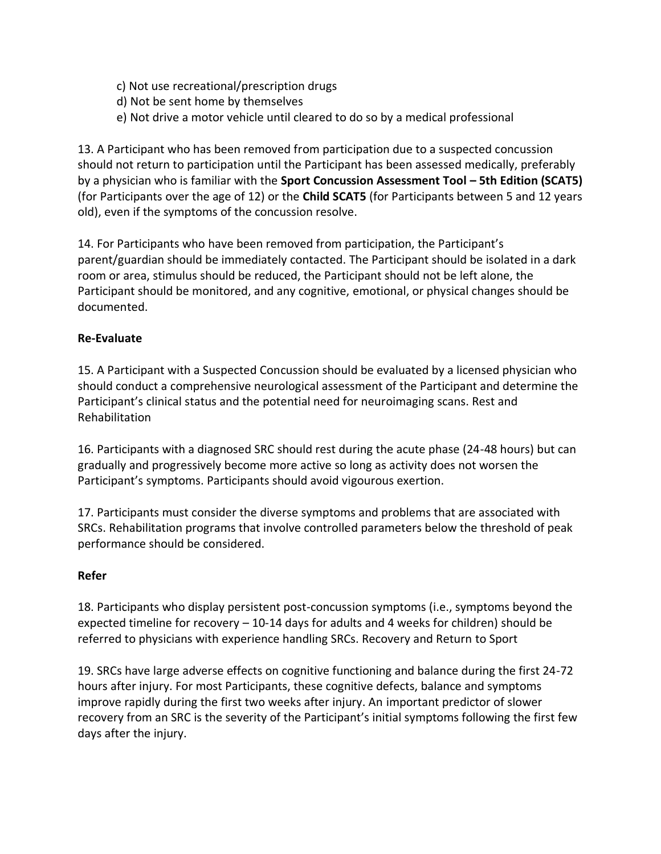- c) Not use recreational/prescription drugs
- d) Not be sent home by themselves
- e) Not drive a motor vehicle until cleared to do so by a medical professional

13. A Participant who has been removed from participation due to a suspected concussion should not return to participation until the Participant has been assessed medically, preferably by a physician who is familiar with the **Sport Concussion Assessment Tool – 5th Edition (SCAT5)** (for Participants over the age of 12) or the **Child SCAT5** (for Participants between 5 and 12 years old), even if the symptoms of the concussion resolve.

14. For Participants who have been removed from participation, the Participant's parent/guardian should be immediately contacted. The Participant should be isolated in a dark room or area, stimulus should be reduced, the Participant should not be left alone, the Participant should be monitored, and any cognitive, emotional, or physical changes should be documented.

# **Re-Evaluate**

15. A Participant with a Suspected Concussion should be evaluated by a licensed physician who should conduct a comprehensive neurological assessment of the Participant and determine the Participant's clinical status and the potential need for neuroimaging scans. Rest and Rehabilitation

16. Participants with a diagnosed SRC should rest during the acute phase (24-48 hours) but can gradually and progressively become more active so long as activity does not worsen the Participant's symptoms. Participants should avoid vigourous exertion.

17. Participants must consider the diverse symptoms and problems that are associated with SRCs. Rehabilitation programs that involve controlled parameters below the threshold of peak performance should be considered.

## **Refer**

18. Participants who display persistent post-concussion symptoms (i.e., symptoms beyond the expected timeline for recovery – 10-14 days for adults and 4 weeks for children) should be referred to physicians with experience handling SRCs. Recovery and Return to Sport

19. SRCs have large adverse effects on cognitive functioning and balance during the first 24-72 hours after injury. For most Participants, these cognitive defects, balance and symptoms improve rapidly during the first two weeks after injury. An important predictor of slower recovery from an SRC is the severity of the Participant's initial symptoms following the first few days after the injury.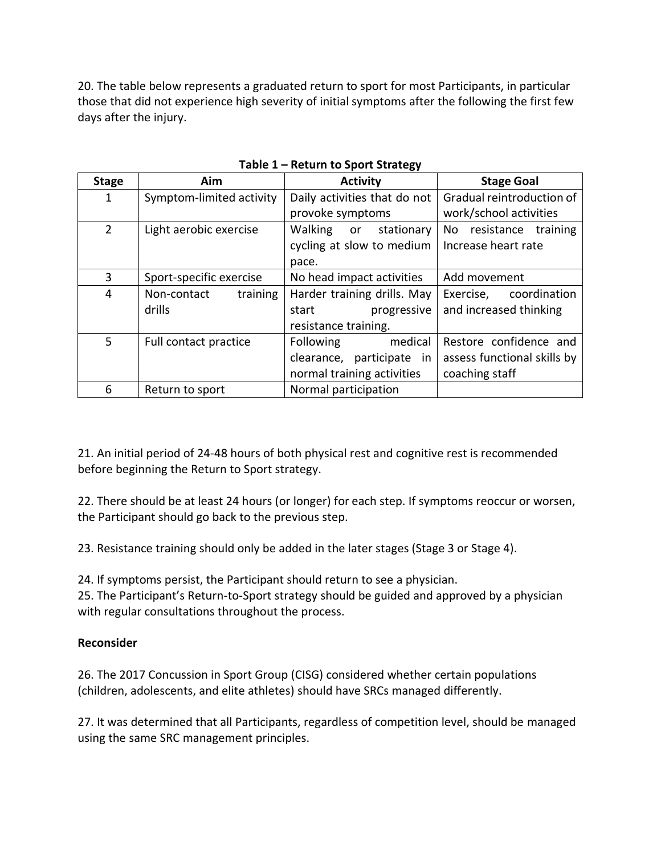20. The table below represents a graduated return to sport for most Participants, in particular those that did not experience high severity of initial symptoms after the following the first few days after the injury.

| <b>Stage</b>   | Aim                      | <b>Activity</b>              | <b>Stage Goal</b>           |
|----------------|--------------------------|------------------------------|-----------------------------|
| 1              | Symptom-limited activity | Daily activities that do not | Gradual reintroduction of   |
|                |                          | provoke symptoms             | work/school activities      |
| $\overline{2}$ | Light aerobic exercise   | Walking or<br>stationary     | No resistance<br>training   |
|                |                          | cycling at slow to medium    | Increase heart rate         |
|                |                          | pace.                        |                             |
| 3              | Sport-specific exercise  | No head impact activities    | Add movement                |
| 4              | training<br>Non-contact  | Harder training drills. May  | coordination<br>Exercise,   |
|                | drills                   | progressive<br>start         | and increased thinking      |
|                |                          | resistance training.         |                             |
| 5              | Full contact practice    | medical<br>Following         | Restore confidence and      |
|                |                          | clearance, participate in    | assess functional skills by |
|                |                          | normal training activities   | coaching staff              |
| 6              | Return to sport          | Normal participation         |                             |

**Table 1 – Return to Sport Strategy**

21. An initial period of 24-48 hours of both physical rest and cognitive rest is recommended before beginning the Return to Sport strategy.

22. There should be at least 24 hours (or longer) for each step. If symptoms reoccur or worsen, the Participant should go back to the previous step.

23. Resistance training should only be added in the later stages (Stage 3 or Stage 4).

24. If symptoms persist, the Participant should return to see a physician.

25. The Participant's Return-to-Sport strategy should be guided and approved by a physician with regular consultations throughout the process.

## **Reconsider**

26. The 2017 Concussion in Sport Group (CISG) considered whether certain populations (children, adolescents, and elite athletes) should have SRCs managed differently.

27. It was determined that all Participants, regardless of competition level, should be managed using the same SRC management principles.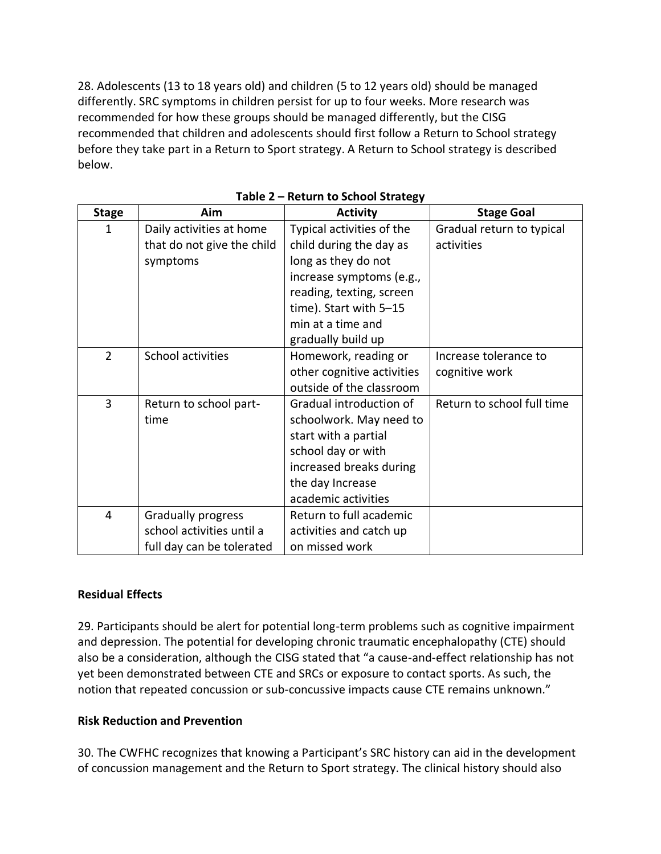28. Adolescents (13 to 18 years old) and children (5 to 12 years old) should be managed differently. SRC symptoms in children persist for up to four weeks. More research was recommended for how these groups should be managed differently, but the CISG recommended that children and adolescents should first follow a Return to School strategy before they take part in a Return to Sport strategy. A Return to School strategy is described below.

| <b>Stage</b>   | Aim                        | <b>Activity</b>            | <b>Stage Goal</b>          |
|----------------|----------------------------|----------------------------|----------------------------|
| 1              | Daily activities at home   | Typical activities of the  | Gradual return to typical  |
|                | that do not give the child | child during the day as    | activities                 |
|                | symptoms                   | long as they do not        |                            |
|                |                            | increase symptoms (e.g.,   |                            |
|                |                            | reading, texting, screen   |                            |
|                |                            | time). Start with 5-15     |                            |
|                |                            | min at a time and          |                            |
|                |                            | gradually build up         |                            |
| $\overline{2}$ | School activities          | Homework, reading or       | Increase tolerance to      |
|                |                            | other cognitive activities | cognitive work             |
|                |                            | outside of the classroom   |                            |
| 3              | Return to school part-     | Gradual introduction of    | Return to school full time |
|                | time                       | schoolwork. May need to    |                            |
|                |                            | start with a partial       |                            |
|                |                            | school day or with         |                            |
|                |                            | increased breaks during    |                            |
|                |                            | the day Increase           |                            |
|                |                            | academic activities        |                            |
| 4              | <b>Gradually progress</b>  | Return to full academic    |                            |
|                | school activities until a  | activities and catch up    |                            |
|                | full day can be tolerated  | on missed work             |                            |

## **Residual Effects**

29. Participants should be alert for potential long-term problems such as cognitive impairment and depression. The potential for developing chronic traumatic encephalopathy (CTE) should also be a consideration, although the CISG stated that "a cause-and-effect relationship has not yet been demonstrated between CTE and SRCs or exposure to contact sports. As such, the notion that repeated concussion or sub-concussive impacts cause CTE remains unknown."

## **Risk Reduction and Prevention**

30. The CWFHC recognizes that knowing a Participant's SRC history can aid in the development of concussion management and the Return to Sport strategy. The clinical history should also